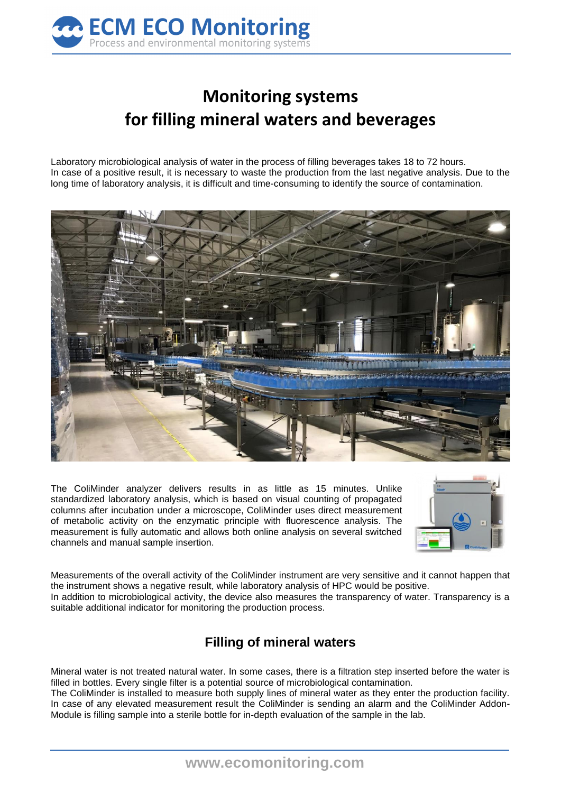

## **Monitoring systems for filling mineral waters and beverages**

Laboratory microbiological analysis of water in the process of filling beverages takes 18 to 72 hours. In case of a positive result, it is necessary to waste the production from the last negative analysis. Due to the long time of laboratory analysis, it is difficult and time-consuming to identify the source of contamination.



The ColiMinder analyzer delivers results in as little as 15 minutes. Unlike standardized laboratory analysis, which is based on visual counting of propagated columns after incubation under a microscope, ColiMinder uses direct measurement of metabolic activity on the enzymatic principle with fluorescence analysis. The measurement is fully automatic and allows both online analysis on several switched channels and manual sample insertion.



Measurements of the overall activity of the ColiMinder instrument are very sensitive and it cannot happen that the instrument shows a negative result, while laboratory analysis of HPC would be positive. In addition to microbiological activity, the device also measures the transparency of water. Transparency is a suitable additional indicator for monitoring the production process.

## **Filling of mineral waters**

Mineral water is not treated natural water. In some cases, there is a filtration step inserted before the water is filled in bottles. Every single filter is a potential source of microbiological contamination.

The ColiMinder is installed to measure both supply lines of mineral water as they enter the production facility. In case of any elevated measurement result the ColiMinder is sending an alarm and the ColiMinder Addon-Module is filling sample into a sterile bottle for in-depth evaluation of the sample in the lab.